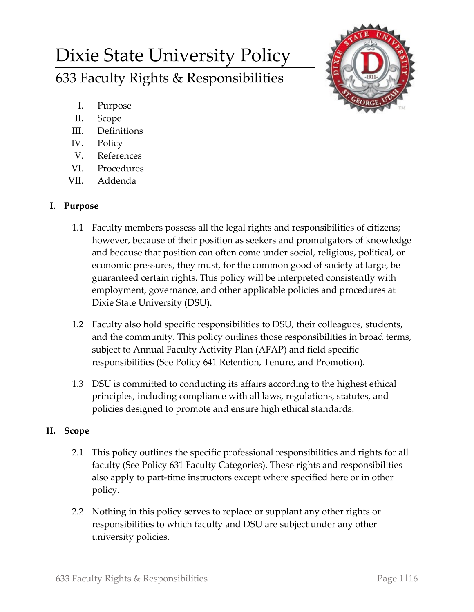# Dixie State University Policy 633 Faculty Rights & Responsibilities



- I. Purpose
- II. Scope
- III. Definitions
- IV. Policy
- V. References
- VI. Procedures
- VII. Addenda

## **I. Purpose**

- 1.1 Faculty members possess all the legal rights and responsibilities of citizens; however, because of their position as seekers and promulgators of knowledge and because that position can often come under social, religious, political, or economic pressures, they must, for the common good of society at large, be guaranteed certain rights. This policy will be interpreted consistently with employment, governance, and other applicable policies and procedures at Dixie State University (DSU).
- 1.2 Faculty also hold specific responsibilities to DSU, their colleagues, students, and the community. This policy outlines those responsibilities in broad terms, subject to Annual Faculty Activity Plan (AFAP) and field specific responsibilities (See Policy 641 Retention, Tenure, and Promotion).
- 1.3 DSU is committed to conducting its affairs according to the highest ethical principles, including compliance with all laws, regulations, statutes, and policies designed to promote and ensure high ethical standards.

# **II. Scope**

- 2.1 This policy outlines the specific professional responsibilities and rights for all faculty (See Policy 631 Faculty Categories). These rights and responsibilities also apply to part-time instructors except where specified here or in other policy.
- 2.2 Nothing in this policy serves to replace or supplant any other rights or responsibilities to which faculty and DSU are subject under any other university policies.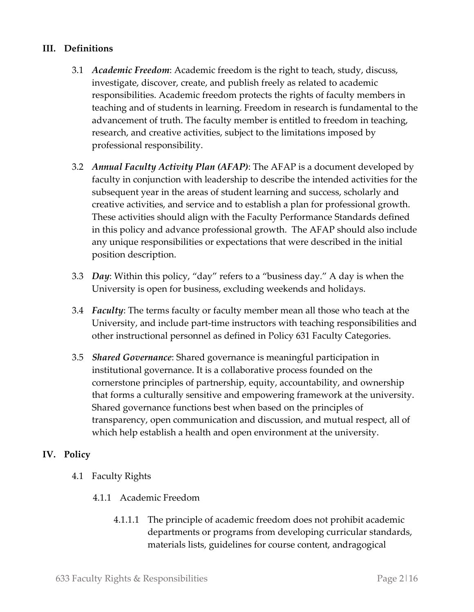### **III. Definitions**

- 3.1 *Academic Freedom*: Academic freedom is the right to teach, study, discuss, investigate, discover, create, and publish freely as related to academic responsibilities. Academic freedom protects the rights of faculty members in teaching and of students in learning. Freedom in research is fundamental to the advancement of truth. The faculty member is entitled to freedom in teaching, research, and creative activities, subject to the limitations imposed by professional responsibility.
- 3.2 *Annual Faculty Activity Plan (AFAP)*: The AFAP is a document developed by faculty in conjunction with leadership to describe the intended activities for the subsequent year in the areas of student learning and success, scholarly and creative activities, and service and to establish a plan for professional growth. These activities should align with the Faculty Performance Standards defined in this policy and advance professional growth. The AFAP should also include any unique responsibilities or expectations that were described in the initial position description.
- 3.3 *Day*: Within this policy, "day" refers to a "business day." A day is when the University is open for business, excluding weekends and holidays.
- 3.4 *Faculty*: The terms faculty or faculty member mean all those who teach at the University, and include part-time instructors with teaching responsibilities and other instructional personnel as defined in Policy 631 Faculty Categories.
- 3.5 *Shared Governance*: Shared governance is meaningful participation in institutional governance. It is a collaborative process founded on the cornerstone principles of partnership, equity, accountability, and ownership that forms a culturally sensitive and empowering framework at the university. Shared governance functions best when based on the principles of transparency, open communication and discussion, and mutual respect, all of which help establish a health and open environment at the university.

#### **IV. Policy**

- 4.1 Faculty Rights
	- 4.1.1 Academic Freedom
		- 4.1.1.1 The principle of academic freedom does not prohibit academic departments or programs from developing curricular standards, materials lists, guidelines for course content, andragogical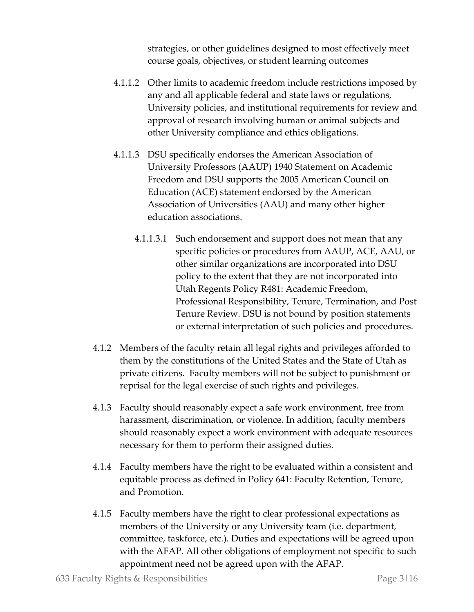strategies, or other guidelines designed to most effectively meet course goals, objectives, or student learning outcomes

- 4.1.1.2 Other limits to academic freedom include restrictions imposed by any and all applicable federal and state laws or regulations, University policies, and institutional requirements for review and approval of research involving human or animal subjects and other University compliance and ethics obligations.
- 4.1.1.3 DSU specifically endorses the American Association of University Professors (AAUP) 1940 Statement on Academic Freedom and DSU supports the 2005 American Council on Education (ACE) statement endorsed by the American Association of Universities (AAU) and many other higher education associations.
	- 4.1.1.3.1 Such endorsement and support does not mean that any specific policies or procedures from AAUP, ACE, AAU, or other similar organizations are incorporated into DSU policy to the extent that they are not incorporated into Utah Regents Policy R481: Academic Freedom, Professional Responsibility, Tenure, Termination, and Post Tenure Review. DSU is not bound by position statements or external interpretation of such policies and procedures.
- 4.1.2 Members of the faculty retain all legal rights and privileges afforded to them by the constitutions of the United States and the State of Utah as private citizens. Faculty members will not be subject to punishment or reprisal for the legal exercise of such rights and privileges.
- 4.1.3 Faculty should reasonably expect a safe work environment, free from harassment, discrimination, or violence. In addition, faculty members should reasonably expect a work environment with adequate resources necessary for them to perform their assigned duties.
- 4.1.4 Faculty members have the right to be evaluated within a consistent and equitable process as defined in Policy 641: Faculty Retention, Tenure, and Promotion.
- 4.1.5 Faculty members have the right to clear professional expectations as members of the University or any University team (i.e. department, committee, taskforce, etc.). Duties and expectations will be agreed upon with the AFAP. All other obligations of employment not specific to such appointment need not be agreed upon with the AFAP.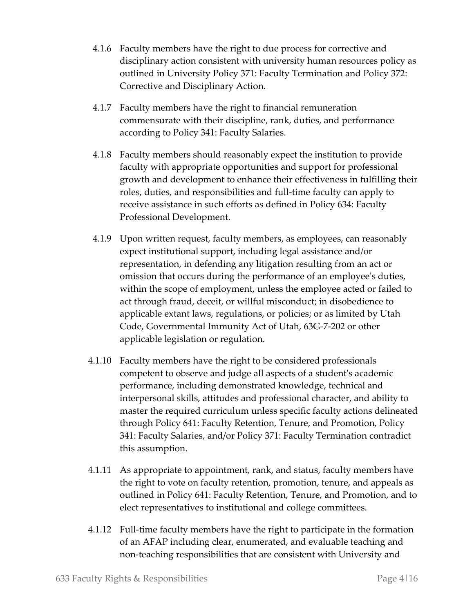- 4.1.6 Faculty members have the right to due process for corrective and disciplinary action consistent with university human resources policy as outlined in University Policy 371: Faculty Termination and Policy 372: Corrective and Disciplinary Action.
- 4.1.7 Faculty members have the right to financial remuneration commensurate with their discipline, rank, duties, and performance according to Policy 341: Faculty Salaries.
- 4.1.8 Faculty members should reasonably expect the institution to provide faculty with appropriate opportunities and support for professional growth and development to enhance their effectiveness in fulfilling their roles, duties, and responsibilities and full-time faculty can apply to receive assistance in such efforts as defined in Policy 634: Faculty Professional Development.
- 4.1.9 Upon written request, faculty members, as employees, can reasonably expect institutional support, including legal assistance and/or representation, in defending any litigation resulting from an act or omission that occurs during the performance of an employee's duties, within the scope of employment, unless the employee acted or failed to act through fraud, deceit, or willful misconduct; in disobedience to applicable extant laws, regulations, or policies; or as limited by Utah Code, Governmental Immunity Act of Utah, 63G-7-202 or other applicable legislation or regulation.
- 4.1.10 Faculty members have the right to be considered professionals competent to observe and judge all aspects of a student's academic performance, including demonstrated knowledge, technical and interpersonal skills, attitudes and professional character, and ability to master the required curriculum unless specific faculty actions delineated through Policy 641: Faculty Retention, Tenure, and Promotion, Policy 341: Faculty Salaries, and/or Policy 371: Faculty Termination contradict this assumption.
- 4.1.11 As appropriate to appointment, rank, and status, faculty members have the right to vote on faculty retention, promotion, tenure, and appeals as outlined in Policy 641: Faculty Retention, Tenure, and Promotion, and to elect representatives to institutional and college committees.
- 4.1.12 Full-time faculty members have the right to participate in the formation of an AFAP including clear, enumerated, and evaluable teaching and non-teaching responsibilities that are consistent with University and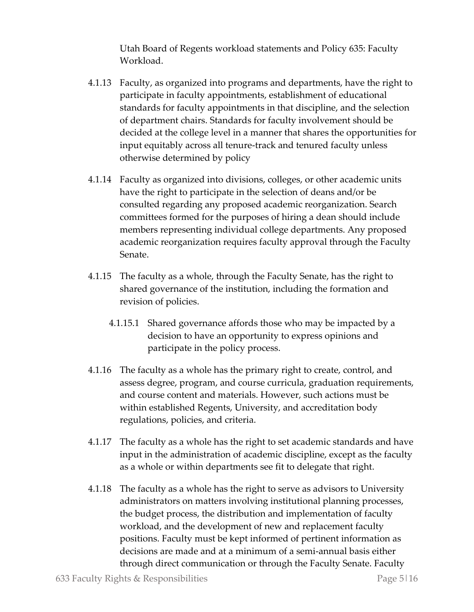Utah Board of Regents workload statements and Policy 635: Faculty Workload.

- 4.1.13 Faculty, as organized into programs and departments, have the right to participate in faculty appointments, establishment of educational standards for faculty appointments in that discipline, and the selection of department chairs. Standards for faculty involvement should be decided at the college level in a manner that shares the opportunities for input equitably across all tenure-track and tenured faculty unless otherwise determined by policy
- 4.1.14 Faculty as organized into divisions, colleges, or other academic units have the right to participate in the selection of deans and/or be consulted regarding any proposed academic reorganization. Search committees formed for the purposes of hiring a dean should include members representing individual college departments. Any proposed academic reorganization requires faculty approval through the Faculty Senate.
- 4.1.15 The faculty as a whole, through the Faculty Senate, has the right to shared governance of the institution, including the formation and revision of policies.
	- 4.1.15.1 Shared governance affords those who may be impacted by a decision to have an opportunity to express opinions and participate in the policy process.
- 4.1.16 The faculty as a whole has the primary right to create, control, and assess degree, program, and course curricula, graduation requirements, and course content and materials. However, such actions must be within established Regents, University, and accreditation body regulations, policies, and criteria.
- 4.1.17 The faculty as a whole has the right to set academic standards and have input in the administration of academic discipline, except as the faculty as a whole or within departments see fit to delegate that right.
- 4.1.18 The faculty as a whole has the right to serve as advisors to University administrators on matters involving institutional planning processes, the budget process, the distribution and implementation of faculty workload, and the development of new and replacement faculty positions. Faculty must be kept informed of pertinent information as decisions are made and at a minimum of a semi-annual basis either through direct communication or through the Faculty Senate. Faculty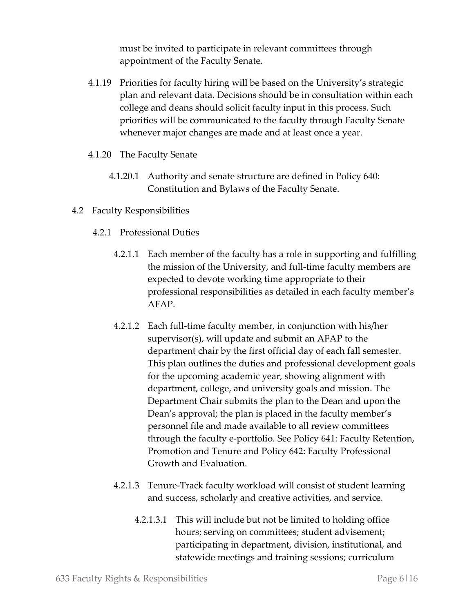must be invited to participate in relevant committees through appointment of the Faculty Senate.

- 4.1.19 Priorities for faculty hiring will be based on the University's strategic plan and relevant data. Decisions should be in consultation within each college and deans should solicit faculty input in this process. Such priorities will be communicated to the faculty through Faculty Senate whenever major changes are made and at least once a year.
- 4.1.20 The Faculty Senate
	- 4.1.20.1 Authority and senate structure are defined in Policy 640: Constitution and Bylaws of the Faculty Senate.
- 4.2 Faculty Responsibilities
	- 4.2.1 Professional Duties
		- 4.2.1.1 Each member of the faculty has a role in supporting and fulfilling the mission of the University, and full-time faculty members are expected to devote working time appropriate to their professional responsibilities as detailed in each faculty member's AFAP.
		- 4.2.1.2 Each full-time faculty member, in conjunction with his/her supervisor(s), will update and submit an AFAP to the department chair by the first official day of each fall semester. This plan outlines the duties and professional development goals for the upcoming academic year, showing alignment with department, college, and university goals and mission. The Department Chair submits the plan to the Dean and upon the Dean's approval; the plan is placed in the faculty member's personnel file and made available to all review committees through the faculty e-portfolio. See Policy 641: Faculty Retention, Promotion and Tenure and Policy 642: Faculty Professional Growth and Evaluation.
		- 4.2.1.3 Tenure-Track faculty workload will consist of student learning and success, scholarly and creative activities, and service.
			- 4.2.1.3.1 This will include but not be limited to holding office hours; serving on committees; student advisement; participating in department, division, institutional, and statewide meetings and training sessions; curriculum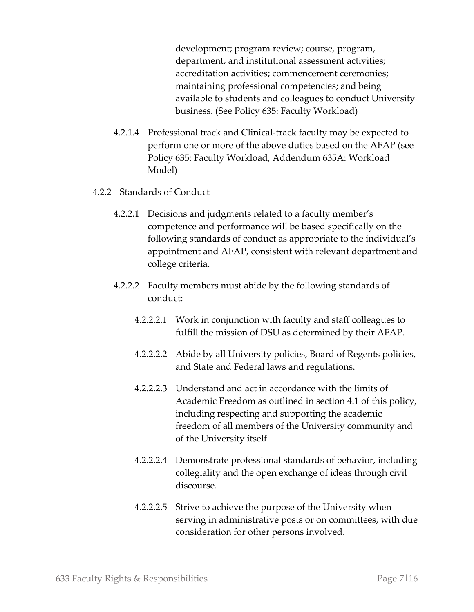development; program review; course, program, department, and institutional assessment activities; accreditation activities; commencement ceremonies; maintaining professional competencies; and being available to students and colleagues to conduct University business. (See Policy 635: Faculty Workload)

- 4.2.1.4 Professional track and Clinical-track faculty may be expected to perform one or more of the above duties based on the AFAP (see Policy 635: Faculty Workload, Addendum 635A: Workload Model)
- 4.2.2 Standards of Conduct
	- 4.2.2.1 Decisions and judgments related to a faculty member's competence and performance will be based specifically on the following standards of conduct as appropriate to the individual's appointment and AFAP, consistent with relevant department and college criteria.
	- 4.2.2.2 Faculty members must abide by the following standards of conduct:
		- 4.2.2.2.1 Work in conjunction with faculty and staff colleagues to fulfill the mission of DSU as determined by their AFAP.
		- 4.2.2.2.2 Abide by all University policies, Board of Regents policies, and State and Federal laws and regulations.
		- 4.2.2.2.3 Understand and act in accordance with the limits of Academic Freedom as outlined in section 4.1 of this policy, including respecting and supporting the academic freedom of all members of the University community and of the University itself.
		- 4.2.2.2.4 Demonstrate professional standards of behavior, including collegiality and the open exchange of ideas through civil discourse.
		- 4.2.2.2.5 Strive to achieve the purpose of the University when serving in administrative posts or on committees, with due consideration for other persons involved.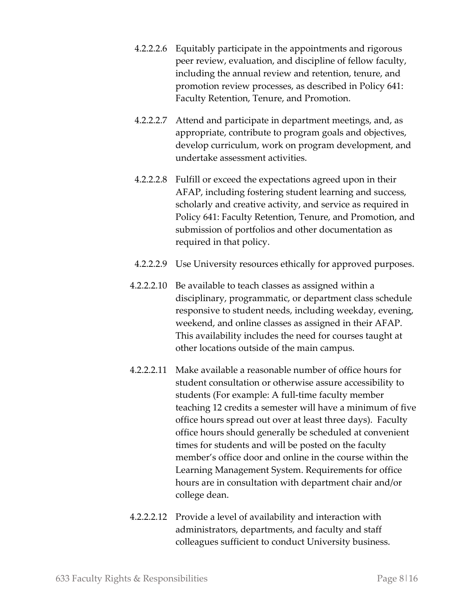- 4.2.2.2.6 Equitably participate in the appointments and rigorous peer review, evaluation, and discipline of fellow faculty, including the annual review and retention, tenure, and promotion review processes, as described in Policy 641: Faculty Retention, Tenure, and Promotion.
- 4.2.2.2.7 Attend and participate in department meetings, and, as appropriate, contribute to program goals and objectives, develop curriculum, work on program development, and undertake assessment activities.
- 4.2.2.2.8 Fulfill or exceed the expectations agreed upon in their AFAP, including fostering student learning and success, scholarly and creative activity, and service as required in Policy 641: Faculty Retention, Tenure, and Promotion, and submission of portfolios and other documentation as required in that policy.
- 4.2.2.2.9 Use University resources ethically for approved purposes.
- 4.2.2.2.10 Be available to teach classes as assigned within a disciplinary, programmatic, or department class schedule responsive to student needs, including weekday, evening, weekend, and online classes as assigned in their AFAP. This availability includes the need for courses taught at other locations outside of the main campus.
- 4.2.2.2.11 Make available a reasonable number of office hours for student consultation or otherwise assure accessibility to students (For example: A full-time faculty member teaching 12 credits a semester will have a minimum of five office hours spread out over at least three days). Faculty office hours should generally be scheduled at convenient times for students and will be posted on the faculty member's office door and online in the course within the Learning Management System. Requirements for office hours are in consultation with department chair and/or college dean.
- 4.2.2.2.12 Provide a level of availability and interaction with administrators, departments, and faculty and staff colleagues sufficient to conduct University business.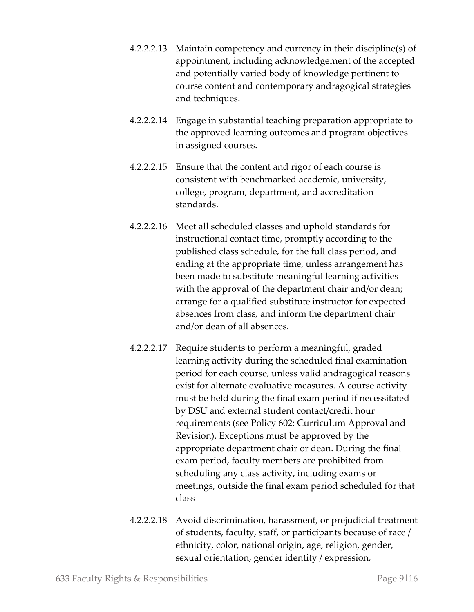- 4.2.2.2.13 Maintain competency and currency in their discipline(s) of appointment, including acknowledgement of the accepted and potentially varied body of knowledge pertinent to course content and contemporary andragogical strategies and techniques.
- 4.2.2.2.14 Engage in substantial teaching preparation appropriate to the approved learning outcomes and program objectives in assigned courses.
- 4.2.2.2.15 Ensure that the content and rigor of each course is consistent with benchmarked academic, university, college, program, department, and accreditation standards.
- 4.2.2.2.16 Meet all scheduled classes and uphold standards for instructional contact time, promptly according to the published class schedule, for the full class period, and ending at the appropriate time, unless arrangement has been made to substitute meaningful learning activities with the approval of the department chair and/or dean; arrange for a qualified substitute instructor for expected absences from class, and inform the department chair and/or dean of all absences.
- 4.2.2.2.17 Require students to perform a meaningful, graded learning activity during the scheduled final examination period for each course, unless valid andragogical reasons exist for alternate evaluative measures. A course activity must be held during the final exam period if necessitated by DSU and external student contact/credit hour requirements (see Policy 602: Curriculum Approval and Revision). Exceptions must be approved by the appropriate department chair or dean. During the final exam period, faculty members are prohibited from scheduling any class activity, including exams or meetings, outside the final exam period scheduled for that class
- 4.2.2.2.18 Avoid discrimination, harassment, or prejudicial treatment of students, faculty, staff, or participants because of race / ethnicity, color, national origin, age, religion, gender, sexual orientation, gender identity / expression,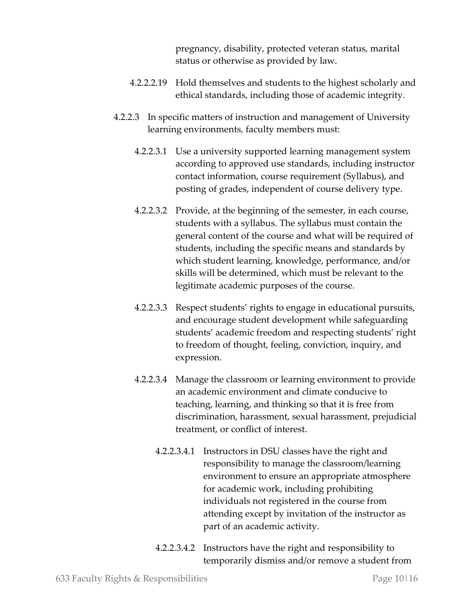pregnancy, disability, protected veteran status, marital status or otherwise as provided by law.

- 4.2.2.2.19 Hold themselves and students to the highest scholarly and ethical standards, including those of academic integrity.
- 4.2.2.3 In specific matters of instruction and management of University learning environments, faculty members must:
	- 4.2.2.3.1 Use a university supported learning management system according to approved use standards, including instructor contact information, course requirement (Syllabus), and posting of grades, independent of course delivery type.
	- 4.2.2.3.2 Provide, at the beginning of the semester, in each course, students with a syllabus. The syllabus must contain the general content of the course and what will be required of students, including the specific means and standards by which student learning, knowledge, performance, and/or skills will be determined, which must be relevant to the legitimate academic purposes of the course.
	- 4.2.2.3.3 Respect students' rights to engage in educational pursuits, and encourage student development while safeguarding students' academic freedom and respecting students' right to freedom of thought, feeling, conviction, inquiry, and expression.
	- 4.2.2.3.4 Manage the classroom or learning environment to provide an academic environment and climate conducive to teaching, learning, and thinking so that it is free from discrimination, harassment, sexual harassment, prejudicial treatment, or conflict of interest.
		- 4.2.2.3.4.1 Instructors in DSU classes have the right and responsibility to manage the classroom/learning environment to ensure an appropriate atmosphere for academic work, including prohibiting individuals not registered in the course from attending except by invitation of the instructor as part of an academic activity.
		- 4.2.2.3.4.2 Instructors have the right and responsibility to temporarily dismiss and/or remove a student from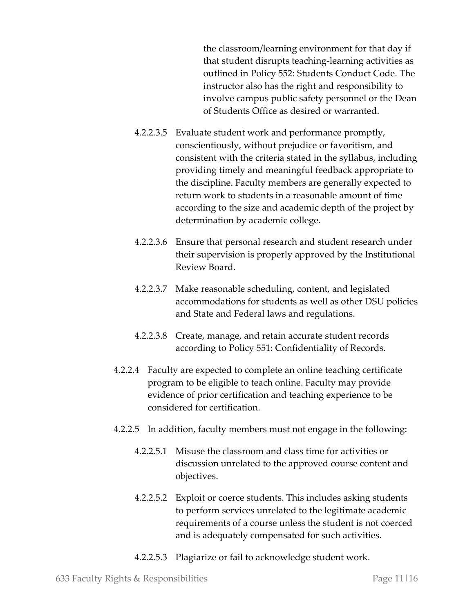the classroom/learning environment for that day if that student disrupts teaching-learning activities as outlined in Policy 552: Students Conduct Code. The instructor also has the right and responsibility to involve campus public safety personnel or the Dean of Students Office as desired or warranted.

- 4.2.2.3.5 Evaluate student work and performance promptly, conscientiously, without prejudice or favoritism, and consistent with the criteria stated in the syllabus, including providing timely and meaningful feedback appropriate to the discipline. Faculty members are generally expected to return work to students in a reasonable amount of time according to the size and academic depth of the project by determination by academic college.
- 4.2.2.3.6 Ensure that personal research and student research under their supervision is properly approved by the Institutional Review Board.
- 4.2.2.3.7 Make reasonable scheduling, content, and legislated accommodations for students as well as other DSU policies and State and Federal laws and regulations.
- 4.2.2.3.8 Create, manage, and retain accurate student records according to Policy 551: Confidentiality of Records.
- 4.2.2.4 Faculty are expected to complete an online teaching certificate program to be eligible to teach online. Faculty may provide evidence of prior certification and teaching experience to be considered for certification.
- 4.2.2.5 In addition, faculty members must not engage in the following:
	- 4.2.2.5.1 Misuse the classroom and class time for activities or discussion unrelated to the approved course content and objectives.
	- 4.2.2.5.2 Exploit or coerce students. This includes asking students to perform services unrelated to the legitimate academic requirements of a course unless the student is not coerced and is adequately compensated for such activities.
	- 4.2.2.5.3 Plagiarize or fail to acknowledge student work.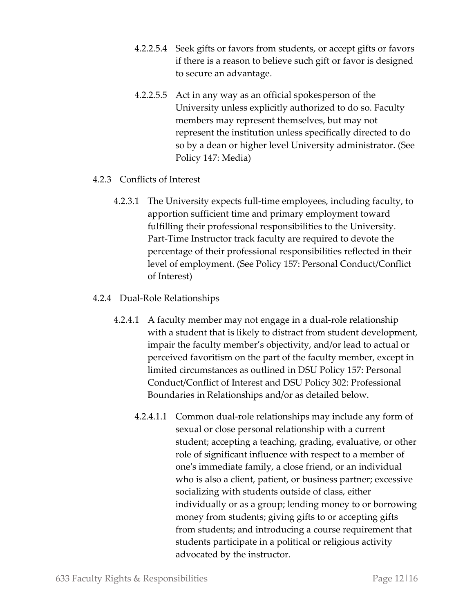- 4.2.2.5.4 Seek gifts or favors from students, or accept gifts or favors if there is a reason to believe such gift or favor is designed to secure an advantage.
- 4.2.2.5.5 Act in any way as an official spokesperson of the University unless explicitly authorized to do so. Faculty members may represent themselves, but may not represent the institution unless specifically directed to do so by a dean or higher level University administrator. (See Policy 147: Media)
- 4.2.3 Conflicts of Interest
	- 4.2.3.1 The University expects full-time employees, including faculty, to apportion sufficient time and primary employment toward fulfilling their professional responsibilities to the University. Part-Time Instructor track faculty are required to devote the percentage of their professional responsibilities reflected in their level of employment. (See Policy 157: Personal Conduct/Conflict of Interest)
- 4.2.4 Dual-Role Relationships
	- 4.2.4.1 A faculty member may not engage in a dual-role relationship with a student that is likely to distract from student development, impair the faculty member's objectivity, and/or lead to actual or perceived favoritism on the part of the faculty member, except in limited circumstances as outlined in DSU Policy 157: Personal Conduct/Conflict of Interest and DSU Policy 302: Professional Boundaries in Relationships and/or as detailed below.
		- 4.2.4.1.1 Common dual-role relationships may include any form of sexual or close personal relationship with a current student; accepting a teaching, grading, evaluative, or other role of significant influence with respect to a member of one's immediate family, a close friend, or an individual who is also a client, patient, or business partner; excessive socializing with students outside of class, either individually or as a group; lending money to or borrowing money from students; giving gifts to or accepting gifts from students; and introducing a course requirement that students participate in a political or religious activity advocated by the instructor.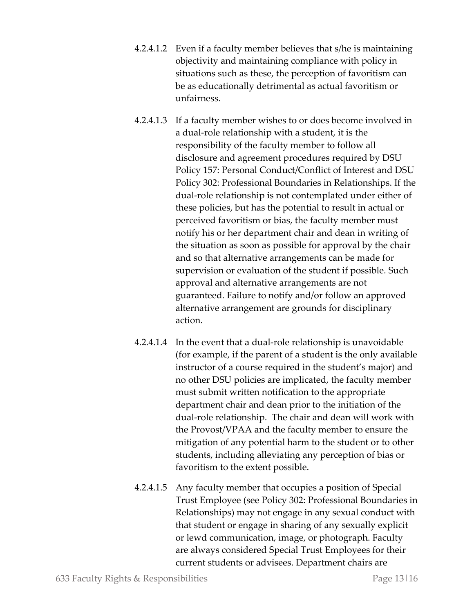- 4.2.4.1.2 Even if a faculty member believes that s/he is maintaining objectivity and maintaining compliance with policy in situations such as these, the perception of favoritism can be as educationally detrimental as actual favoritism or unfairness.
- 4.2.4.1.3 If a faculty member wishes to or does become involved in a dual-role relationship with a student, it is the responsibility of the faculty member to follow all disclosure and agreement procedures required by DSU Policy 157: Personal Conduct/Conflict of Interest and DSU Policy 302: Professional Boundaries in Relationships. If the dual-role relationship is not contemplated under either of these policies, but has the potential to result in actual or perceived favoritism or bias, the faculty member must notify his or her department chair and dean in writing of the situation as soon as possible for approval by the chair and so that alternative arrangements can be made for supervision or evaluation of the student if possible. Such approval and alternative arrangements are not guaranteed. Failure to notify and/or follow an approved alternative arrangement are grounds for disciplinary action.
- 4.2.4.1.4 In the event that a dual-role relationship is unavoidable (for example, if the parent of a student is the only available instructor of a course required in the student's major) and no other DSU policies are implicated, the faculty member must submit written notification to the appropriate department chair and dean prior to the initiation of the dual-role relationship. The chair and dean will work with the Provost/VPAA and the faculty member to ensure the mitigation of any potential harm to the student or to other students, including alleviating any perception of bias or favoritism to the extent possible.
- 4.2.4.1.5 Any faculty member that occupies a position of Special Trust Employee (see Policy 302: Professional Boundaries in Relationships) may not engage in any sexual conduct with that student or engage in sharing of any sexually explicit or lewd communication, image, or photograph. Faculty are always considered Special Trust Employees for their current students or advisees. Department chairs are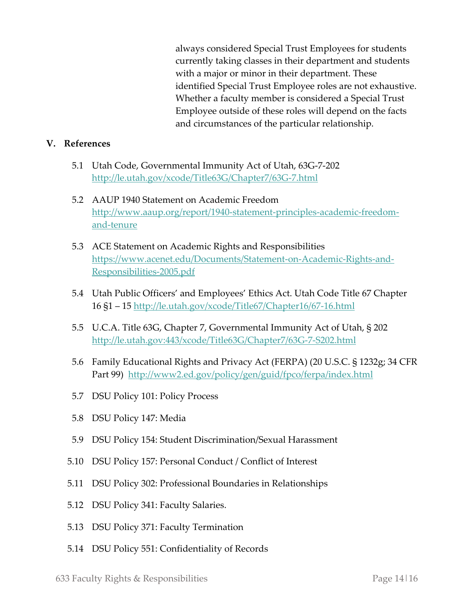always considered Special Trust Employees for students currently taking classes in their department and students with a major or minor in their department. These identified Special Trust Employee roles are not exhaustive. Whether a faculty member is considered a Special Trust Employee outside of these roles will depend on the facts and circumstances of the particular relationship.

#### **V. References**

- 5.1 Utah Code, Governmental Immunity Act of Utah, 63G-7-202 <http://le.utah.gov/xcode/Title63G/Chapter7/63G-7.html>
- 5.2 AAUP 1940 Statement on Academic Freedom [http://www.aaup.org/report/1940-statement-principles-academic-freedom](http://www.aaup.org/report/1940-statement-principles-academic-freedom-and-tenure)[and-tenure](http://www.aaup.org/report/1940-statement-principles-academic-freedom-and-tenure)
- 5.3 ACE Statement on Academic Rights and Responsibilities [https://www.acenet.edu/Documents/Statement-on-Academic-Rights-and-](https://www.acenet.edu/Documents/Statement-on-Academic-Rights-and-Responsibilities-2005.pdf)[Responsibilities-2005.pdf](https://www.acenet.edu/Documents/Statement-on-Academic-Rights-and-Responsibilities-2005.pdf)
- 5.4 Utah Public Officers' and Employees' Ethics Act. Utah Code Title 67 Chapter 16 §1 – 15<http://le.utah.gov/xcode/Title67/Chapter16/67-16.html>
- 5.5 U.C.A. Title 63G, Chapter 7, Governmental Immunity Act of Utah, § 202 <http://le.utah.gov:443/xcode/Title63G/Chapter7/63G-7-S202.html>
- 5.6 Family Educational Rights and Privacy Act (FERPA) (20 U.S.C. § 1232g; 34 CFR Part 99) <http://www2.ed.gov/policy/gen/guid/fpco/ferpa/index.html>
- 5.7 DSU Policy 101: Policy Process
- 5.8 DSU Policy 147: Media
- 5.9 DSU Policy 154: Student Discrimination/Sexual Harassment
- 5.10 DSU Policy 157: Personal Conduct / Conflict of Interest
- 5.11 DSU Policy 302: Professional Boundaries in Relationships
- 5.12 DSU Policy 341: Faculty Salaries.
- 5.13 DSU Policy 371: Faculty Termination
- 5.14 DSU Policy 551: Confidentiality of Records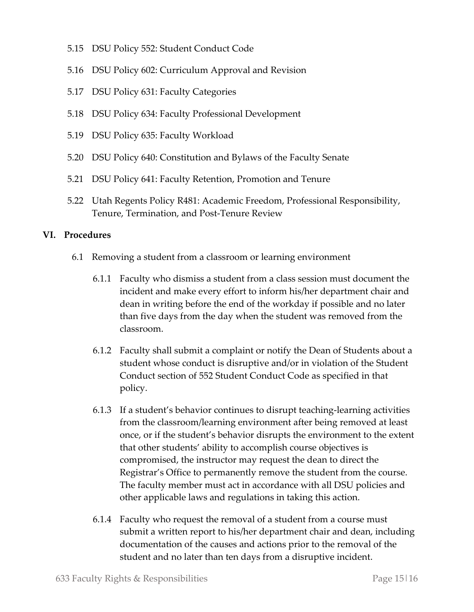- 5.15 DSU Policy 552: Student Conduct Code
- 5.16 DSU Policy 602: Curriculum Approval and Revision
- 5.17 DSU Policy 631: Faculty Categories
- 5.18 DSU Policy 634: Faculty Professional Development
- 5.19 DSU Policy 635: Faculty Workload
- 5.20 DSU Policy 640: Constitution and Bylaws of the Faculty Senate
- 5.21 DSU Policy 641: Faculty Retention, Promotion and Tenure
- 5.22 Utah Regents Policy R481: Academic Freedom, Professional Responsibility, Tenure, Termination, and Post-Tenure Review

#### **VI. Procedures**

- 6.1 Removing a student from a classroom or learning environment
	- 6.1.1 Faculty who dismiss a student from a class session must document the incident and make every effort to inform his/her department chair and dean in writing before the end of the workday if possible and no later than five days from the day when the student was removed from the classroom.
	- 6.1.2 Faculty shall submit a complaint or notify the Dean of Students about a student whose conduct is disruptive and/or in violation of the Student Conduct section of 552 Student Conduct Code as specified in that policy.
	- 6.1.3 If a student's behavior continues to disrupt teaching-learning activities from the classroom/learning environment after being removed at least once, or if the student's behavior disrupts the environment to the extent that other students' ability to accomplish course objectives is compromised, the instructor may request the dean to direct the Registrar's Office to permanently remove the student from the course. The faculty member must act in accordance with all DSU policies and other applicable laws and regulations in taking this action.
	- 6.1.4 Faculty who request the removal of a student from a course must submit a written report to his/her department chair and dean, including documentation of the causes and actions prior to the removal of the student and no later than ten days from a disruptive incident.